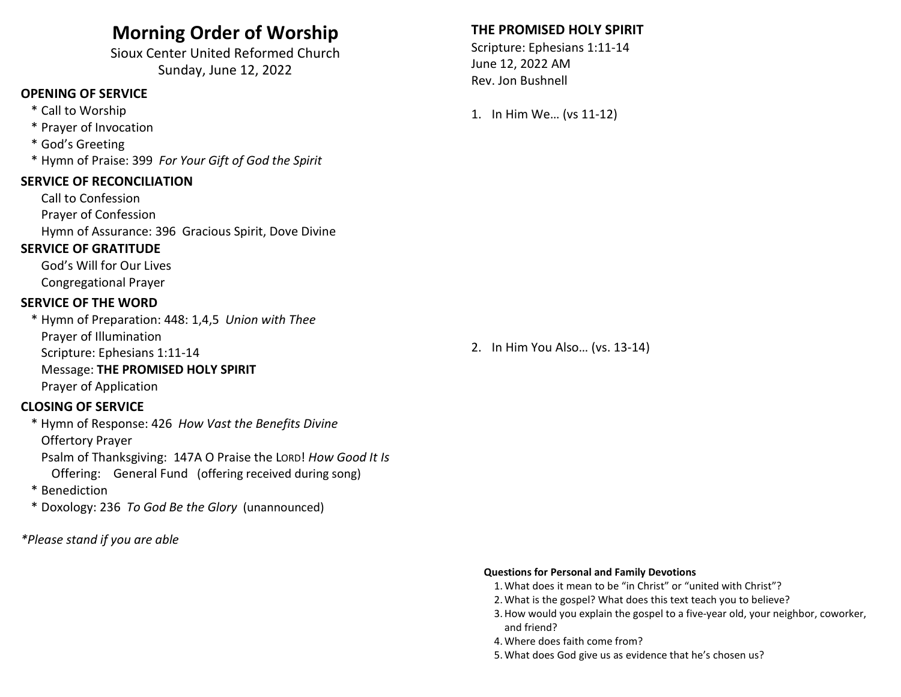## Morning Order of Worship

Sioux Center United Reformed Church Sunday, June 12, 2022

## OPENING OF SERVICE

- \* Call to Worship
- \* Prayer of Invocation
- \* God's Greeting
- \* Hymn of Praise: 399 For Your Gift of God the Spirit

#### SERVICE OF RECONCILIATION

 Call to Confession Prayer of Confession Hymn of Assurance: 396 Gracious Spirit, Dove Divine

### SERVICE OF GRATITUDE

 God's Will for Our Lives Congregational Prayer

#### SERVICE OF THE WORD

\* Hymn of Preparation: 448: 1,4,5 Union with Thee Prayer of Illumination Scripture: Ephesians 1:11-14 Message: THE PROMISED HOLY SPIRIT Prayer of Application

## CLOSING OF SERVICE

 \* Hymn of Response: 426 How Vast the Benefits Divine Offertory Prayer

 Psalm of Thanksgiving: 147A O Praise the LORD! How Good It Is Offering: General Fund (offering received during song)

- \* Benediction
- \* Doxology: 236 To God Be the Glory (unannounced)

\*Please stand if you are able

### THE PROMISED HOLY SPIRIT

Scripture: Ephesians 1:11-14 June 12, 2022 AM Rev. Jon Bushnell

1. In Him We… (vs 11-12)

#### 2. In Him You Also… (vs. 13-14)

#### Questions for Personal and Family Devotions

- 1.What does it mean to be "in Christ" or "united with Christ"?
- 2.What is the gospel? What does this text teach you to believe?
- 3.How would you explain the gospel to a five-year old, your neighbor, coworker, and friend?
- 4.Where does faith come from?
- 5.What does God give us as evidence that he's chosen us?